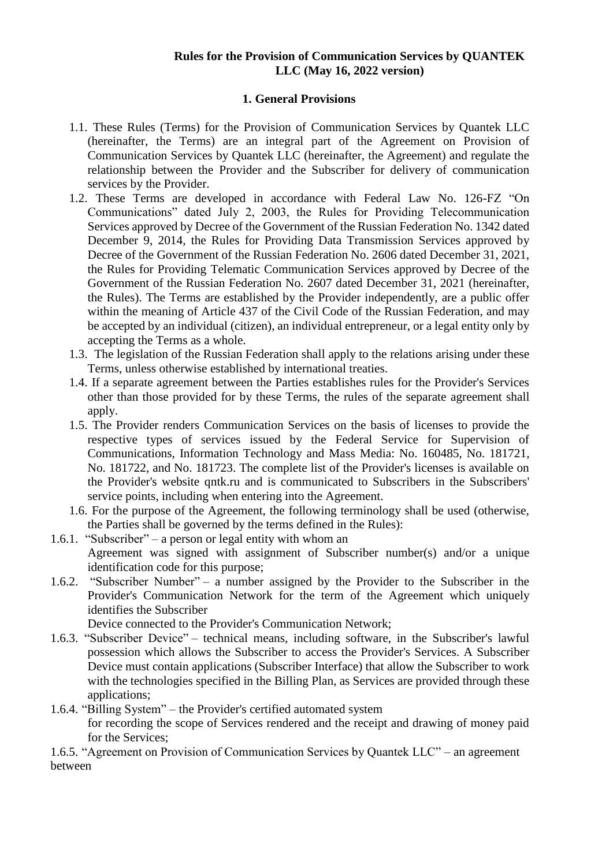## **Rules for the Provision of Communication Services by QUANTEK LLC (May 16, 2022 version)**

# **1. General Provisions**

- 1.1. These Rules (Terms) for the Provision of Communication Services by Quantek LLC (hereinafter, the Terms) are an integral part of the Agreement on Provision of Communication Services by Quantek LLC (hereinafter, the Agreement) and regulate the relationship between the Provider and the Subscriber for delivery of communication services by the Provider.
- 1.2. These Terms are developed in accordance with Federal Law No. 126-FZ "On Communications" dated July 2, 2003, the Rules for Providing Telecommunication Services approved by Decree of the Government of the Russian Federation No. 1342 dated December 9, 2014, the Rules for Providing Data Transmission Services approved by Decree of the Government of the Russian Federation No. 2606 dated December 31, 2021, the Rules for Providing Telematic Communication Services approved by Decree of the Government of the Russian Federation No. 2607 dated December 31, 2021 (hereinafter, the Rules). The Terms are established by the Provider independently, are a public offer within the meaning of Article 437 of the Civil Code of the Russian Federation, and may be accepted by an individual (citizen), an individual entrepreneur, or a legal entity only by accepting the Terms as a whole.
- 1.3. The legislation of the Russian Federation shall apply to the relations arising under these Terms, unless otherwise established by international treaties.
- 1.4. If a separate agreement between the Parties establishes rules for the Provider's Services other than those provided for by these Terms, the rules of the separate agreement shall apply.
- 1.5. The Provider renders Communication Services on the basis of licenses to provide the respective types of services issued by the Federal Service for Supervision of Communications, Information Technology and Mass Media: No. 160485, No. 181721, No. 181722, and No. 181723. The complete list of the Provider's licenses is available on the Provider's website qntk.ru and is communicated to Subscribers in the Subscribers' service points, including when entering into the Agreement.
- 1.6. For the purpose of the Agreement, the following terminology shall be used (otherwise, the Parties shall be governed by the terms defined in the Rules):
- 1.6.1. "Subscriber" a person or legal entity with whom an Agreement was signed with assignment of Subscriber number(s) and/or a unique identification code for this purpose;
- 1.6.2. "Subscriber Number" a number assigned by the Provider to the Subscriber in the Provider's Communication Network for the term of the Agreement which uniquely identifies the Subscriber

Device connected to the Provider's Communication Network;

1.6.3. "Subscriber Device" – technical means, including software, in the Subscriber's lawful possession which allows the Subscriber to access the Provider's Services. A Subscriber Device must contain applications (Subscriber Interface) that allow the Subscriber to work with the technologies specified in the Billing Plan, as Services are provided through these applications;

1.6.4. "Billing System" – the Provider's certified automated system

for recording the scope of Services rendered and the receipt and drawing of money paid for the Services;

1.6.5. "Agreement on Provision of Communication Services by Quantek LLC" – an agreement between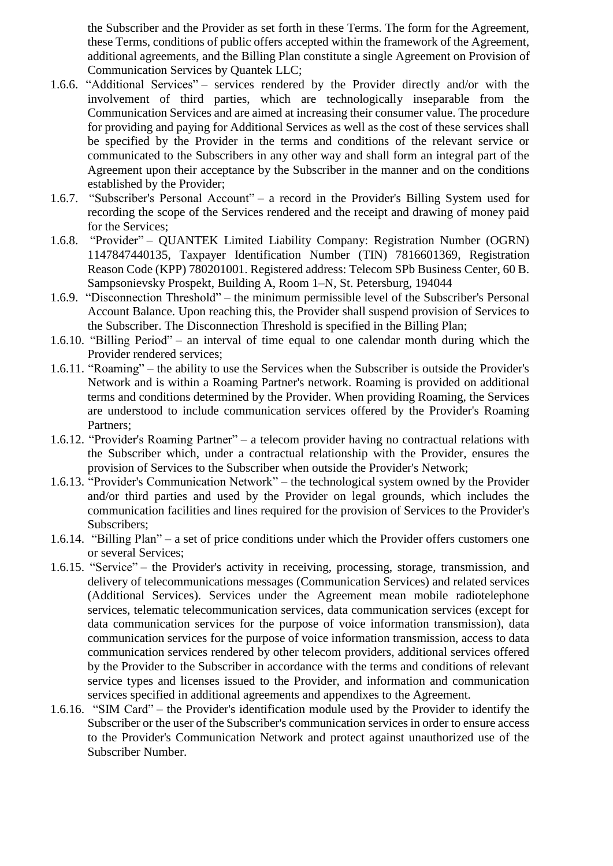the Subscriber and the Provider as set forth in these Terms. The form for the Agreement, these Terms, conditions of public offers accepted within the framework of the Agreement, additional agreements, and the Billing Plan constitute a single Agreement on Provision of Communication Services by Quantek LLC;

- 1.6.6. "Additional Services" services rendered by the Provider directly and/or with the involvement of third parties, which are technologically inseparable from the Communication Services and are aimed at increasing their consumer value. The procedure for providing and paying for Additional Services as well as the cost of these services shall be specified by the Provider in the terms and conditions of the relevant service or communicated to the Subscribers in any other way and shall form an integral part of the Agreement upon their acceptance by the Subscriber in the manner and on the conditions established by the Provider;
- 1.6.7. "Subscriber's Personal Account" a record in the Provider's Billing System used for recording the scope of the Services rendered and the receipt and drawing of money paid for the Services;
- 1.6.8. "Provider" QUANTEK Limited Liability Company: Registration Number (OGRN) 1147847440135, Taxpayer Identification Number (TIN) 7816601369, Registration Reason Code (KPP) 780201001. Registered address: Telecom SPb Business Center, 60 B. Sampsonievsky Prospekt, Building A, Room 1–N, St. Petersburg, 194044
- 1.6.9. "Disconnection Threshold" the minimum permissible level of the Subscriber's Personal Account Balance. Upon reaching this, the Provider shall suspend provision of Services to the Subscriber. The Disconnection Threshold is specified in the Billing Plan;
- 1.6.10. "Billing Period" an interval of time equal to one calendar month during which the Provider rendered services;
- 1.6.11. "Roaming" the ability to use the Services when the Subscriber is outside the Provider's Network and is within a Roaming Partner's network. Roaming is provided on additional terms and conditions determined by the Provider. When providing Roaming, the Services are understood to include communication services offered by the Provider's Roaming Partners;
- 1.6.12. "Provider's Roaming Partner" a telecom provider having no contractual relations with the Subscriber which, under a contractual relationship with the Provider, ensures the provision of Services to the Subscriber when outside the Provider's Network;
- 1.6.13. "Provider's Communication Network" the technological system owned by the Provider and/or third parties and used by the Provider on legal grounds, which includes the communication facilities and lines required for the provision of Services to the Provider's Subscribers;
- 1.6.14. "Billing Plan" a set of price conditions under which the Provider offers customers one or several Services;
- 1.6.15. "Service" the Provider's activity in receiving, processing, storage, transmission, and delivery of telecommunications messages (Communication Services) and related services (Additional Services). Services under the Agreement mean mobile radiotelephone services, telematic telecommunication services, data communication services (except for data communication services for the purpose of voice information transmission), data communication services for the purpose of voice information transmission, access to data communication services rendered by other telecom providers, additional services offered by the Provider to the Subscriber in accordance with the terms and conditions of relevant service types and licenses issued to the Provider, and information and communication services specified in additional agreements and appendixes to the Agreement.
- 1.6.16. "SIM Card" the Provider's identification module used by the Provider to identify the Subscriber or the user of the Subscriber's communication services in order to ensure access to the Provider's Communication Network and protect against unauthorized use of the Subscriber Number.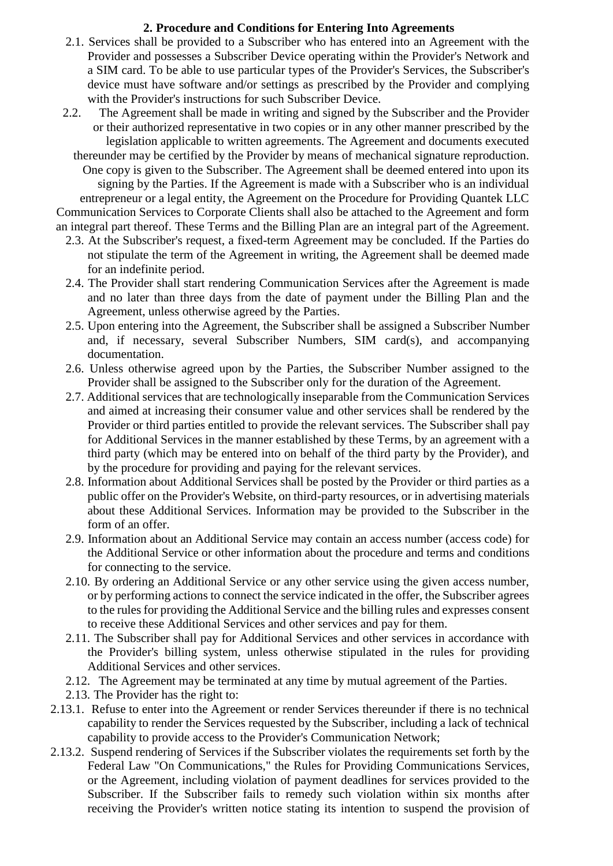## **2. Procedure and Conditions for Entering Into Agreements**

- 2.1. Services shall be provided to a Subscriber who has entered into an Agreement with the Provider and possesses a Subscriber Device operating within the Provider's Network and a SIM card. To be able to use particular types of the Provider's Services, the Subscriber's device must have software and/or settings as prescribed by the Provider and complying with the Provider's instructions for such Subscriber Device.
- 2.2. The Agreement shall be made in writing and signed by the Subscriber and the Provider or their authorized representative in two copies or in any other manner prescribed by the legislation applicable to written agreements. The Agreement and documents executed

thereunder may be certified by the Provider by means of mechanical signature reproduction. One copy is given to the Subscriber. The Agreement shall be deemed entered into upon its signing by the Parties. If the Agreement is made with a Subscriber who is an individual entrepreneur or a legal entity, the Agreement on the Procedure for Providing Quantek LLC Communication Services to Corporate Clients shall also be attached to the Agreement and form an integral part thereof. These Terms and the Billing Plan are an integral part of the Agreement.

- 2.3. At the Subscriber's request, a fixed-term Agreement may be concluded. If the Parties do not stipulate the term of the Agreement in writing, the Agreement shall be deemed made for an indefinite period.
- 2.4. The Provider shall start rendering Communication Services after the Agreement is made and no later than three days from the date of payment under the Billing Plan and the Agreement, unless otherwise agreed by the Parties.
- 2.5. Upon entering into the Agreement, the Subscriber shall be assigned a Subscriber Number and, if necessary, several Subscriber Numbers, SIM card(s), and accompanying documentation.
- 2.6. Unless otherwise agreed upon by the Parties, the Subscriber Number assigned to the Provider shall be assigned to the Subscriber only for the duration of the Agreement.
- 2.7. Additional services that are technologically inseparable from the Communication Services and aimed at increasing their consumer value and other services shall be rendered by the Provider or third parties entitled to provide the relevant services. The Subscriber shall pay for Additional Services in the manner established by these Terms, by an agreement with a third party (which may be entered into on behalf of the third party by the Provider), and by the procedure for providing and paying for the relevant services.
- 2.8. Information about Additional Services shall be posted by the Provider or third parties as a public offer on the Provider's Website, on third-party resources, or in advertising materials about these Additional Services. Information may be provided to the Subscriber in the form of an offer.
- 2.9. Information about an Additional Service may contain an access number (access code) for the Additional Service or other information about the procedure and terms and conditions for connecting to the service.
- 2.10. By ordering an Additional Service or any other service using the given access number, or by performing actions to connect the service indicated in the offer, the Subscriber agrees to the rules for providing the Additional Service and the billing rules and expresses consent to receive these Additional Services and other services and pay for them.
- 2.11. The Subscriber shall pay for Additional Services and other services in accordance with the Provider's billing system, unless otherwise stipulated in the rules for providing Additional Services and other services.
- 2.12. The Agreement may be terminated at any time by mutual agreement of the Parties.
- 2.13. The Provider has the right to:
- 2.13.1. Refuse to enter into the Agreement or render Services thereunder if there is no technical capability to render the Services requested by the Subscriber, including a lack of technical capability to provide access to the Provider's Communication Network;
- 2.13.2. Suspend rendering of Services if the Subscriber violates the requirements set forth by the Federal [Law](consultantplus://offline/ref=EBDD6B0EA2C6D59299456595EC40A540A022CD4E5D0D3EFB5D04EF0FC12AE61815EDFB3D2DA6xEM) ["](consultantplus://offline/ref=EBDD6B0EA2C6D59299456595EC40A540A022CD4E5D0D3EFB5D04EF0FC12AE61815EDFB3D2DA6xEM)On Communications," the Rules for Providing Communications Services, or the Agreement, including violation of payment deadlines for services provided to the Subscriber. If the Subscriber fails to remedy such violation within six months after receiving the Provider's written notice stating its intention to suspend the provision of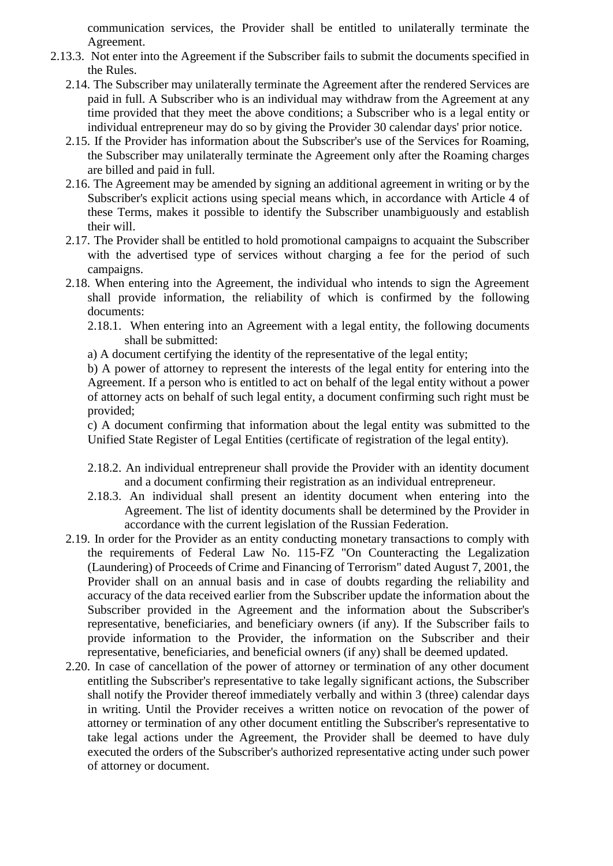communication services, the Provider shall be entitled to unilaterally terminate the Agreement.

- 2.13.3. Not enter into the Agreement if the Subscriber fails to submit the documents specified in the Rules.
	- 2.14. The Subscriber may unilaterally terminate the Agreement after the rendered Services are paid in full. A Subscriber who is an individual may withdraw from the Agreement at any time provided that they meet the above conditions; a Subscriber who is a legal entity or individual entrepreneur may do so by giving the Provider 30 calendar days' prior notice.
	- 2.15. If the Provider has information about the Subscriber's use of the Services for Roaming, the Subscriber may unilaterally terminate the Agreement only after the Roaming charges are billed and paid in full.
	- 2.16. The Agreement may be amended by signing an additional agreement in writing or by the Subscriber's explicit actions using special means which, in accordance with Article 4 of these Terms, makes it possible to identify the Subscriber unambiguously and establish their will.
	- 2.17. The Provider shall be entitled to hold promotional campaigns to acquaint the Subscriber with the advertised type of services without charging a fee for the period of such campaigns.
	- 2.18. When entering into the Agreement, the individual who intends to sign the Agreement shall provide information, the reliability of which is confirmed by the following documents:
		- 2.18.1. When entering into an Agreement with a legal entity, the following documents shall be submitted:
		- a) A document certifying the identity of the representative of the legal entity;

b) A power of attorney to represent the interests of the legal entity for entering into the Agreement. If a person who is entitled to act on behalf of the legal entity without a power of attorney acts on behalf of such legal entity, a document confirming such right must be provided;

c) A document confirming that information about the legal entity was submitted to the Unified State Register of Legal Entities (certificate of registration of the legal entity).

- 2.18.2. An individual entrepreneur shall provide the Provider with an identity document and a document confirming their registration as an individual entrepreneur.
- 2.18.3. An individual shall present an identity document when entering into the Agreement. The list of identity documents shall be determined by the Provider in accordance with the current legislation of the Russian Federation.
- 2.19. In order for the Provider as an entity conducting monetary transactions to comply with the requirements of Federal Law No. 115-FZ "On Counteracting the Legalization (Laundering) of Proceeds of Crime and Financing of Terrorism" dated August 7, 2001, the Provider shall on an annual basis and in case of doubts regarding the reliability and accuracy of the data received earlier from the Subscriber update the information about the Subscriber provided in the Agreement and the information about the Subscriber's representative, beneficiaries, and beneficiary owners (if any). If the Subscriber fails to provide information to the Provider, the information on the Subscriber and their representative, beneficiaries, and beneficial owners (if any) shall be deemed updated.
- 2.20. In case of cancellation of the power of attorney or termination of any other document entitling the Subscriber's representative to take legally significant actions, the Subscriber shall notify the Provider thereof immediately verbally and within 3 (three) calendar days in writing. Until the Provider receives a written notice on revocation of the power of attorney or termination of any other document entitling the Subscriber's representative to take legal actions under the Agreement, the Provider shall be deemed to have duly executed the orders of the Subscriber's authorized representative acting under such power of attorney or document.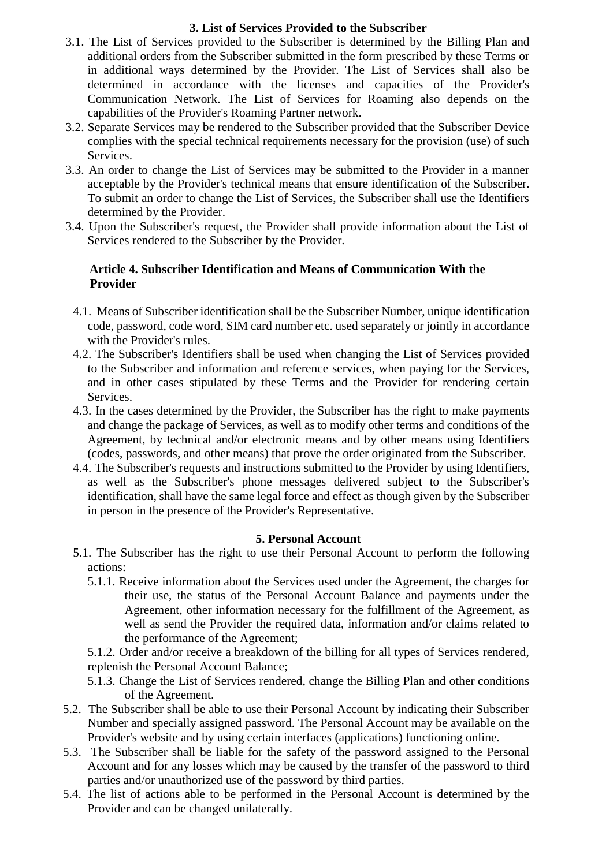# **3. List of Services Provided to the Subscriber**

- 3.1. The List of Services provided to the Subscriber is determined by the Billing Plan and additional orders from the Subscriber submitted in the form prescribed by these Terms or in additional ways determined by the Provider. The List of Services shall also be determined in accordance with the licenses and capacities of the Provider's Communication Network. The List of Services for Roaming also depends on the capabilities of the Provider's Roaming Partner network.
- 3.2. Separate Services may be rendered to the Subscriber provided that the Subscriber Device complies with the special technical requirements necessary for the provision (use) of such Services.
- 3.3. An order to change the List of Services may be submitted to the Provider in a manner acceptable by the Provider's technical means that ensure identification of the Subscriber. To submit an order to change the List of Services, the Subscriber shall use the Identifiers determined by the Provider.
- 3.4. Upon the Subscriber's request, the Provider shall provide information about the List of Services rendered to the Subscriber by the Provider.

### **Article 4. Subscriber Identification and Means of Communication With the Provider**

- 4.1. Means of Subscriber identification shall be the Subscriber Number, unique identification code, password, code word, SIM card number etc. used separately or jointly in accordance with the Provider's rules.
- 4.2. The Subscriber's Identifiers shall be used when changing the List of Services provided to the Subscriber and information and reference services, when paying for the Services, and in other cases stipulated by these Terms and the Provider for rendering certain Services.
- 4.3. In the cases determined by the Provider, the Subscriber has the right to make payments and change the package of Services, as well as to modify other terms and conditions of the Agreement, by technical and/or electronic means and by other means using Identifiers (codes, passwords, and other means) that prove the order originated from the Subscriber.
- 4.4. The Subscriber's requests and instructions submitted to the Provider by using Identifiers, as well as the Subscriber's phone messages delivered subject to the Subscriber's identification, shall have the same legal force and effect as though given by the Subscriber in person in the presence of the Provider's Representative.

### **5. Personal Account**

- 5.1. The Subscriber has the right to use their Personal Account to perform the following actions:
	- 5.1.1. Receive information about the Services used under the Agreement, the charges for their use, the status of the Personal Account Balance and payments under the Agreement, other information necessary for the fulfillment of the Agreement, as well as send the Provider the required data, information and/or claims related to the performance of the Agreement;

5.1.2. Order and/or receive a breakdown of the billing for all types of Services rendered, replenish the Personal Account Balance;

- 5.1.3. Change the List of Services rendered, change the Billing Plan and other conditions of the Agreement.
- 5.2. The Subscriber shall be able to use their Personal Account by indicating their Subscriber Number and specially assigned password. The Personal Account may be available on the Provider's website and by using certain interfaces (applications) functioning online.
- 5.3. The Subscriber shall be liable for the safety of the password assigned to the Personal Account and for any losses which may be caused by the transfer of the password to third parties and/or unauthorized use of the password by third parties.
- 5.4. The list of actions able to be performed in the Personal Account is determined by the Provider and can be changed unilaterally.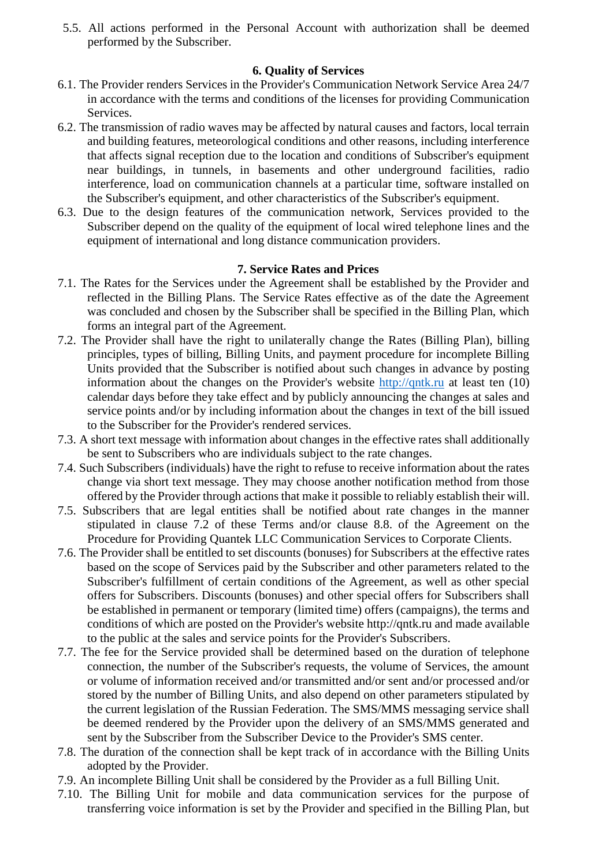5.5. All actions performed in the Personal Account with authorization shall be deemed performed by the Subscriber.

# **6. Quality of Services**

- 6.1. The Provider renders Services in the Provider's Communication Network Service Area 24/7 in accordance with the terms and conditions of the licenses for providing Communication Services.
- 6.2. The transmission of radio waves may be affected by natural causes and factors, local terrain and building features, meteorological conditions and other reasons, including interference that affects signal reception due to the location and conditions of Subscriber's equipment near buildings, in tunnels, in basements and other underground facilities, radio interference, load on communication channels at a particular time, software installed on the Subscriber's equipment, and other characteristics of the Subscriber's equipment.
- 6.3. Due to the design features of the communication network, Services provided to the Subscriber depend on the quality of the equipment of local wired telephone lines and the equipment of international and long distance communication providers.

## **7. Service Rates and Prices**

- 7.1. The Rates for the Services under the Agreement shall be established by the Provider and reflected in the Billing Plans. The Service Rates effective as of the date the Agreement was concluded and chosen by the Subscriber shall be specified in the Billing Plan, which forms an integral part of the Agreement.
- 7.2. The Provider shall have the right to unilaterally change the Rates (Billing Plan), billing principles, types of billing, Billing Units, and payment procedure for incomplete Billing Units provided that the Subscriber is notified about such changes in advance by posting information about the changes on the Provider's website [http://qntk.ru](http://qntk.ru/) at least ten (10) calendar days before they take effect and by publicly announcing the changes at sales and service points and/or by including information about the changes in text of the bill issued to the Subscriber for the Provider's rendered services.
- 7.3. A short text message with information about changes in the effective rates shall additionally be sent to Subscribers who are individuals subject to the rate changes.
- 7.4. Such Subscribers (individuals) have the right to refuse to receive information about the rates change via short text message. They may choose another notification method from those offered by the Provider through actions that make it possible to reliably establish their will.
- 7.5. Subscribers that are legal entities shall be notified about rate changes in the manner stipulated in clause 7.2 of these Terms and/or clause 8.8. of the Agreement on the Procedure for Providing Quantek LLC Communication Services to Corporate Clients.
- 7.6. The Provider shall be entitled to set discounts (bonuses) for Subscribers at the effective rates based on the scope of Services paid by the Subscriber and other parameters related to the Subscriber's fulfillment of certain conditions of the Agreement, as well as other special offers for Subscribers. Discounts (bonuses) and other special offers for Subscribers shall be established in permanent or temporary (limited time) offers (campaigns), the terms and conditions of which are posted on the Provider's website [http://qntk.ru](http://www.megafon.ru/) and made available to the public at the sales and service points for the Provider's Subscribers.
- 7.7. The fee for the Service provided shall be determined based on the duration of telephone connection, the number of the Subscriber's requests, the volume of Services, the amount or volume of information received and/or transmitted and/or sent and/or processed and/or stored by the number of Billing Units, and also depend on other parameters stipulated by the current legislation of the Russian Federation. The SMS/MMS messaging service shall be deemed rendered by the Provider upon the delivery of an SMS/MMS generated and sent by the Subscriber from the Subscriber Device to the Provider's SMS center.
- 7.8. The duration of the connection shall be kept track of in accordance with the Billing Units adopted by the Provider.
- 7.9. An incomplete Billing Unit shall be considered by the Provider as a full Billing Unit.
- 7.10. The Billing Unit for mobile and data communication services for the purpose of transferring voice information is set by the Provider and specified in the Billing Plan, but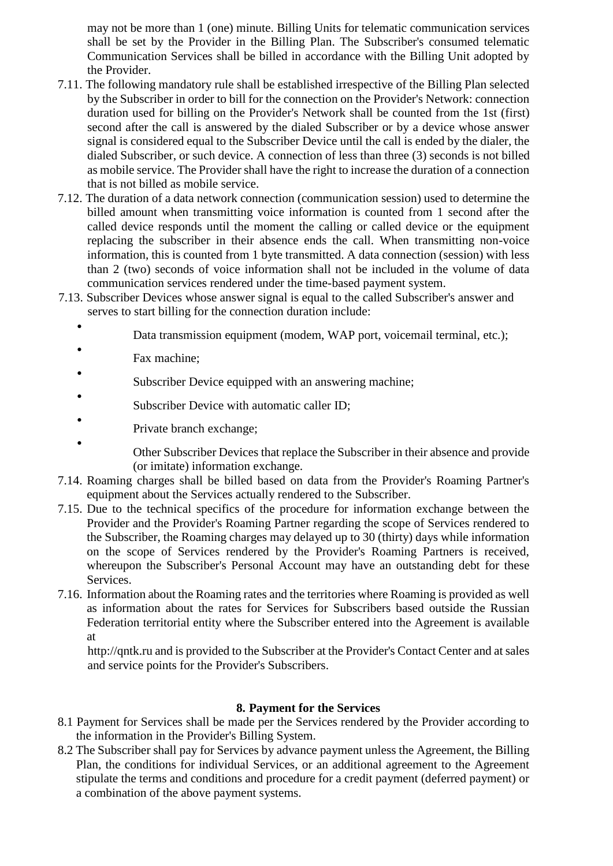may not be more than 1 (one) minute. Billing Units for telematic communication services shall be set by the Provider in the Billing Plan. The Subscriber's consumed telematic Communication Services shall be billed in accordance with the Billing Unit adopted by the Provider.

- 7.11. The following mandatory rule shall be established irrespective of the Billing Plan selected by the Subscriber in order to bill for the connection on the Provider's Network: connection duration used for billing on the Provider's Network shall be counted from the 1st (first) second after the call is answered by the dialed Subscriber or by a device whose answer signal is considered equal to the Subscriber Device until the call is ended by the dialer, the dialed Subscriber, or such device. A connection of less than three (3) seconds is not billed as mobile service. The Provider shall have the right to increase the duration of a connection that is not billed as mobile service.
- 7.12. The duration of a data network connection (communication session) used to determine the billed amount when transmitting voice information is counted from 1 second after the called device responds until the moment the calling or called device or the equipment replacing the subscriber in their absence ends the call. When transmitting non-voice information, this is counted from 1 byte transmitted. A data connection (session) with less than 2 (two) seconds of voice information shall not be included in the volume of data communication services rendered under the time-based payment system.
- 7.13. Subscriber Devices whose answer signal is equal to the called Subscriber's answer and serves to start billing for the connection duration include:
	- Data transmission equipment (modem, WAP port, voicemail terminal, etc.);
	- Fax machine;

•

- Subscriber Device equipped with an answering machine;
- Subscriber Device with automatic caller ID;
- Private branch exchange;
	- Other Subscriber Devices that replace the Subscriber in their absence and provide (or imitate) information exchange.
- 7.14. Roaming charges shall be billed based on data from the Provider's Roaming Partner's equipment about the Services actually rendered to the Subscriber.
- 7.15. Due to the technical specifics of the procedure for information exchange between the Provider and the Provider's Roaming Partner regarding the scope of Services rendered to the Subscriber, the Roaming charges may delayed up to 30 (thirty) days while information on the scope of Services rendered by the Provider's Roaming Partners is received, whereupon the Subscriber's Personal Account may have an outstanding debt for these Services.
- 7.16. Information about the Roaming rates and the territories where Roaming is provided as well as information about the rates for Services for Subscribers based outside the Russian Federation territorial entity where the Subscriber entered into the Agreement is available at

[http://qntk.ru a](http://www.megafon.ru/)nd is provided to the Subscriber at the Provider's Contact Center and at sales and service points for the Provider's Subscribers.

#### **8. Payment for the Services**

- 8.1 Payment for Services shall be made per the Services rendered by the Provider according to the information in the Provider's Billing System.
- 8.2 The Subscriber shall pay for Services by advance payment unless the Agreement, the Billing Plan, the conditions for individual Services, or an additional agreement to the Agreement stipulate the terms and conditions and procedure for a credit payment (deferred payment) or a combination of the above payment systems.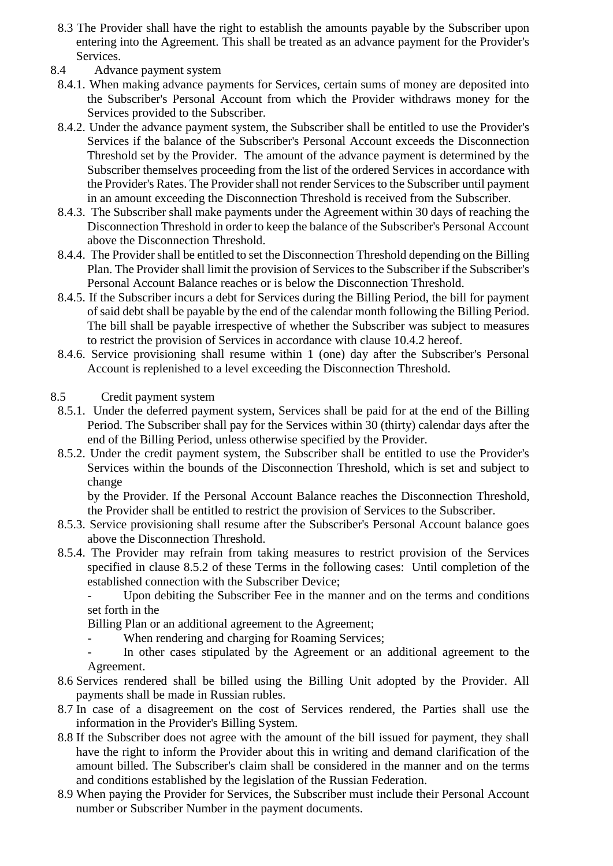- 8.3 The Provider shall have the right to establish the amounts payable by the Subscriber upon entering into the Agreement. This shall be treated as an advance payment for the Provider's Services.
- 8.4 Advance payment system
	- 8.4.1. When making advance payments for Services, certain sums of money are deposited into the Subscriber's Personal Account from which the Provider withdraws money for the Services provided to the Subscriber.
	- 8.4.2. Under the advance payment system, the Subscriber shall be entitled to use the Provider's Services if the balance of the Subscriber's Personal Account exceeds the Disconnection Threshold set by the Provider. The amount of the advance payment is determined by the Subscriber themselves proceeding from the list of the ordered Services in accordance with the Provider's Rates. The Provider shall not render Services to the Subscriber until payment in an amount exceeding the Disconnection Threshold is received from the Subscriber.
	- 8.4.3. The Subscriber shall make payments under the Agreement within 30 days of reaching the Disconnection Threshold in order to keep the balance of the Subscriber's Personal Account above the Disconnection Threshold.
	- 8.4.4. The Provider shall be entitled to set the Disconnection Threshold depending on the Billing Plan. The Provider shall limit the provision of Services to the Subscriber if the Subscriber's Personal Account Balance reaches or is below the Disconnection Threshold.
	- 8.4.5. If the Subscriber incurs a debt for Services during the Billing Period, the bill for payment of said debt shall be payable by the end of the calendar month following the Billing Period. The bill shall be payable irrespective of whether the Subscriber was subject to measures to restrict the provision of Services in accordance with clause 10.4.2 hereof.
	- 8.4.6. Service provisioning shall resume within 1 (one) day after the Subscriber's Personal Account is replenished to a level exceeding the Disconnection Threshold.
- 8.5 Credit payment system
- 8.5.1. Under the deferred payment system, Services shall be paid for at the end of the Billing Period. The Subscriber shall pay for the Services within 30 (thirty) calendar days after the end of the Billing Period, unless otherwise specified by the Provider.
- 8.5.2. Under the credit payment system, the Subscriber shall be entitled to use the Provider's Services within the bounds of the Disconnection Threshold, which is set and subject to change

by the Provider. If the Personal Account Balance reaches the Disconnection Threshold, the Provider shall be entitled to restrict the provision of Services to the Subscriber.

- 8.5.3. Service provisioning shall resume after the Subscriber's Personal Account balance goes above the Disconnection Threshold.
- 8.5.4. The Provider may refrain from taking measures to restrict provision of the Services specified in clause 8.5.2 of these Terms in the following cases: Until completion of the established connection with the Subscriber Device;

Upon debiting the Subscriber Fee in the manner and on the terms and conditions set forth in the

Billing Plan or an additional agreement to the Agreement;

- When rendering and charging for Roaming Services;

In other cases stipulated by the Agreement or an additional agreement to the Agreement.

- 8.6 Services rendered shall be billed using the Billing Unit adopted by the Provider. All payments shall be made in Russian rubles.
- 8.7 In case of a disagreement on the cost of Services rendered, the Parties shall use the information in the Provider's Billing System.
- 8.8 If the Subscriber does not agree with the amount of the bill issued for payment, they shall have the right to inform the Provider about this in writing and demand clarification of the amount billed. The Subscriber's claim shall be considered in the manner and on the terms and conditions established by the legislation of the Russian Federation.
- 8.9 When paying the Provider for Services, the Subscriber must include their Personal Account number or Subscriber Number in the payment documents.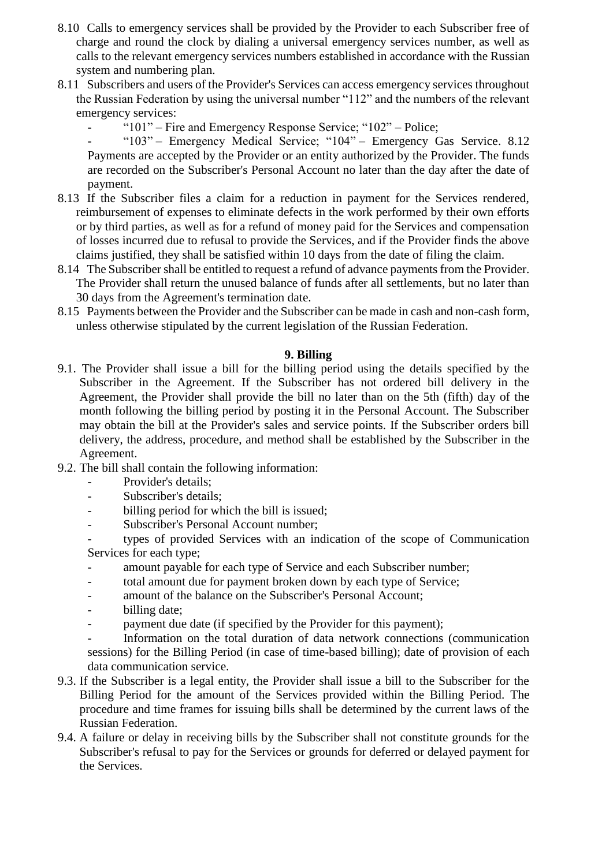- 8.10 Calls to emergency services shall be provided by the Provider to each Subscriber free of charge and round the clock by dialing a universal emergency services number, as well as calls to the relevant emergency services numbers established in accordance with the Russian system and numbering plan.
- 8.11 Subscribers and users of the Provider's Services can access emergency services throughout the Russian Federation by using the universal number "112" and the numbers of the relevant emergency services:
	- " $101"$  Fire and Emergency Response Service; " $102"$  Police;

- "103" – Emergency Medical Service; "104" – Emergency Gas Service. 8.12 Payments are accepted by the Provider or an entity authorized by the Provider. The funds are recorded on the Subscriber's Personal Account no later than the day after the date of payment.

- 8.13 If the Subscriber files a claim for a reduction in payment for the Services rendered, reimbursement of expenses to eliminate defects in the work performed by their own efforts or by third parties, as well as for a refund of money paid for the Services and compensation of losses incurred due to refusal to provide the Services, and if the Provider finds the above claims justified, they shall be satisfied within 10 days from the date of filing the claim.
- 8.14 The Subscriber shall be entitled to request a refund of advance payments from the Provider. The Provider shall return the unused balance of funds after all settlements, but no later than 30 days from the Agreement's termination date.
- 8.15 Payments between the Provider and the Subscriber can be made in cash and non-cash form, unless otherwise stipulated by the current legislation of the Russian Federation.

## **9. Billing**

- 9.1. The Provider shall issue a bill for the billing period using the details specified by the Subscriber in the Agreement. If the Subscriber has not ordered bill delivery in the Agreement, the Provider shall provide the bill no later than on the 5th (fifth) day of the month following the billing period by posting it in the Personal Account. The Subscriber may obtain the bill at the Provider's sales and service points. If the Subscriber orders bill delivery, the address, procedure, and method shall be established by the Subscriber in the Agreement.
- 9.2. The bill shall contain the following information:
	- Provider's details:
	- Subscriber's details;
	- billing period for which the bill is issued;
	- Subscriber's Personal Account number;

- types of provided Services with an indication of the scope of Communication Services for each type;

- amount payable for each type of Service and each Subscriber number;
- total amount due for payment broken down by each type of Service;
- amount of the balance on the Subscriber's Personal Account;
- billing date;
- payment due date (if specified by the Provider for this payment);

- Information on the total duration of data network connections (communication sessions) for the Billing Period (in case of time-based billing); date of provision of each data communication service.

- 9.3. If the Subscriber is a legal entity, the Provider shall issue a bill to the Subscriber for the Billing Period for the amount of the Services provided within the Billing Period. The procedure and time frames for issuing bills shall be determined by the current laws of the Russian Federation.
- 9.4. A failure or delay in receiving bills by the Subscriber shall not constitute grounds for the Subscriber's refusal to pay for the Services or grounds for deferred or delayed payment for the Services.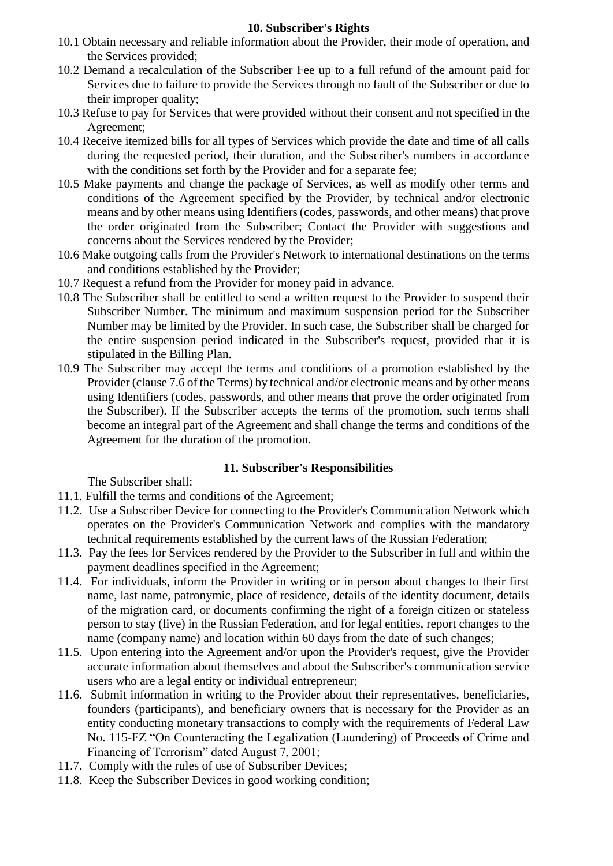## **10. Subscriber's Rights**

- 10.1 Obtain necessary and reliable information about the Provider, their mode of operation, and the Services provided;
- 10.2 Demand a recalculation of the Subscriber Fee up to a full refund of the amount paid for Services due to failure to provide the Services through no fault of the Subscriber or due to their improper quality;
- 10.3 Refuse to pay for Services that were provided without their consent and not specified in the Agreement;
- 10.4 Receive itemized bills for all types of Services which provide the date and time of all calls during the requested period, their duration, and the Subscriber's numbers in accordance with the conditions set forth by the Provider and for a separate fee;
- 10.5 Make payments and change the package of Services, as well as modify other terms and conditions of the Agreement specified by the Provider, by technical and/or electronic means and by other means using Identifiers (codes, passwords, and other means) that prove the order originated from the Subscriber; Contact the Provider with suggestions and concerns about the Services rendered by the Provider;
- 10.6 Make outgoing calls from the Provider's Network to international destinations on the terms and conditions established by the Provider;
- 10.7 Request a refund from the Provider for money paid in advance.
- 10.8 The Subscriber shall be entitled to send a written request to the Provider to suspend their Subscriber Number. The minimum and maximum suspension period for the Subscriber Number may be limited by the Provider. In such case, the Subscriber shall be charged for the entire suspension period indicated in the Subscriber's request, provided that it is stipulated in the Billing Plan.
- 10.9 The Subscriber may accept the terms and conditions of a promotion established by the Provider (clause 7.6 of the Terms) by technical and/or electronic means and by other means using Identifiers (codes, passwords, and other means that prove the order originated from the Subscriber). If the Subscriber accepts the terms of the promotion, such terms shall become an integral part of the Agreement and shall change the terms and conditions of the Agreement for the duration of the promotion.

#### **11. Subscriber's Responsibilities**

The Subscriber shall:

- 11.1. Fulfill the terms and conditions of the Agreement;
- 11.2. Use a Subscriber Device for connecting to the Provider's Communication Network which operates on the Provider's Communication Network and complies with the mandatory technical requirements established by the current laws of the Russian Federation;
- 11.3. Pay the fees for Services rendered by the Provider to the Subscriber in full and within the payment deadlines specified in the Agreement;
- 11.4. For individuals, inform the Provider in writing or in person about changes to their first name, last name, patronymic, place of residence, details of the identity document, details of the migration card, or documents confirming the right of a foreign citizen or stateless person to stay (live) in the Russian Federation, and for legal entities, report changes to the name (company name) and location within 60 days from the date of such changes;
- 11.5. Upon entering into the Agreement and/or upon the Provider's request, give the Provider accurate information about themselves and about the Subscriber's communication service users who are a legal entity or individual entrepreneur;
- 11.6. Submit information in writing to the Provider about their representatives, beneficiaries, founders (participants), and beneficiary owners that is necessary for the Provider as an entity conducting monetary transactions to comply with the requirements of Federal Law No. 115-FZ "On Counteracting the Legalization (Laundering) of Proceeds of Crime and Financing of Terrorism" dated August 7, 2001;
- 11.7. Comply with the rules of use of Subscriber Devices;
- 11.8. Keep the Subscriber Devices in good working condition;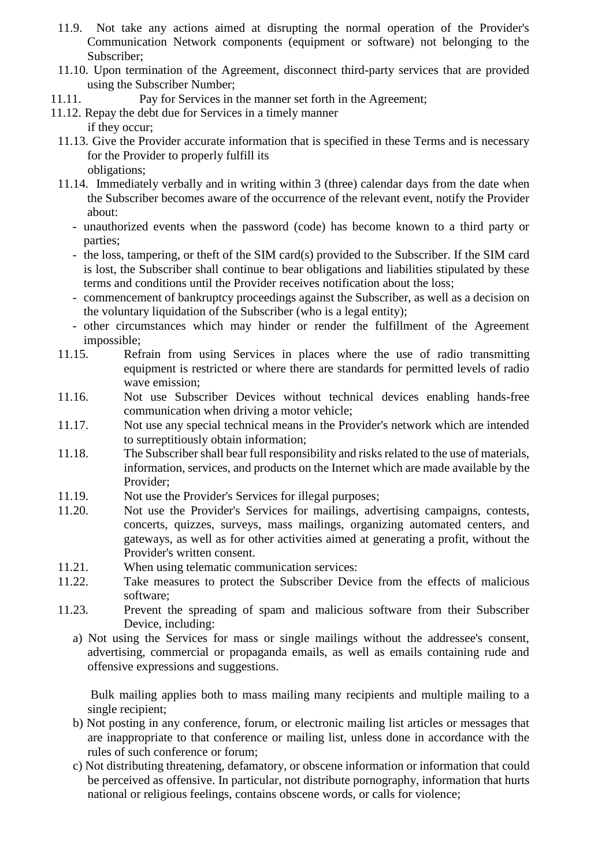- 11.9. Not take any actions aimed at disrupting the normal operation of the Provider's Communication Network components (equipment or software) not belonging to the Subscriber;
- 11.10. Upon termination of the Agreement, disconnect third-party services that are provided using the Subscriber Number;
- 11.11. Pay for Services in the manner set forth in the Agreement;
- 11.12. Repay the debt due for Services in a timely manner
	- if they occur;
	- 11.13. Give the Provider accurate information that is specified in these Terms and is necessary for the Provider to properly fulfill its obligations;
	- 11.14. Immediately verbally and in writing within 3 (three) calendar days from the date when the Subscriber becomes aware of the occurrence of the relevant event, notify the Provider about:
		- unauthorized events when the password (code) has become known to a third party or parties;
		- the loss, tampering, or theft of the SIM card(s) provided to the Subscriber. If the SIM card is lost, the Subscriber shall continue to bear obligations and liabilities stipulated by these terms and conditions until the Provider receives notification about the loss;
		- commencement of bankruptcy proceedings against the Subscriber, as well as a decision on the voluntary liquidation of the Subscriber (who is a legal entity);
		- other circumstances which may hinder or render the fulfillment of the Agreement impossible;
	- 11.15. Refrain from using Services in places where the use of radio transmitting equipment is restricted or where there are standards for permitted levels of radio wave emission;
	- 11.16. Not use Subscriber Devices without technical devices enabling hands-free communication when driving a motor vehicle;
	- 11.17. Not use any special technical means in the Provider's network which are intended to surreptitiously obtain information;
	- 11.18. The Subscriber shall bear full responsibility and risks related to the use of materials, information, services, and products on the Internet which are made available by the Provider;
	- 11.19. Not use the Provider's Services for illegal purposes;
	- 11.20. Not use the Provider's Services for mailings, advertising campaigns, contests, concerts, quizzes, surveys, mass mailings, organizing automated centers, and gateways, as well as for other activities aimed at generating a profit, without the Provider's written consent.
	- 11.21. When using telematic communication services:
	- 11.22. Take measures to protect the Subscriber Device from the effects of malicious software;
	- 11.23. Prevent the spreading of spam and malicious software from their Subscriber Device, including:
		- a) Not using the Services for mass or single mailings without the addressee's consent, advertising, commercial or propaganda emails, as well as emails containing rude and offensive expressions and suggestions.

Bulk mailing applies both to mass mailing many recipients and multiple mailing to a single recipient;

- b) Not posting in any conference, forum, or electronic mailing list articles or messages that are inappropriate to that conference or mailing list, unless done in accordance with the rules of such conference or forum;
- c) Not distributing threatening, defamatory, or obscene information or information that could be perceived as offensive. In particular, not distribute pornography, information that hurts national or religious feelings, contains obscene words, or calls for violence;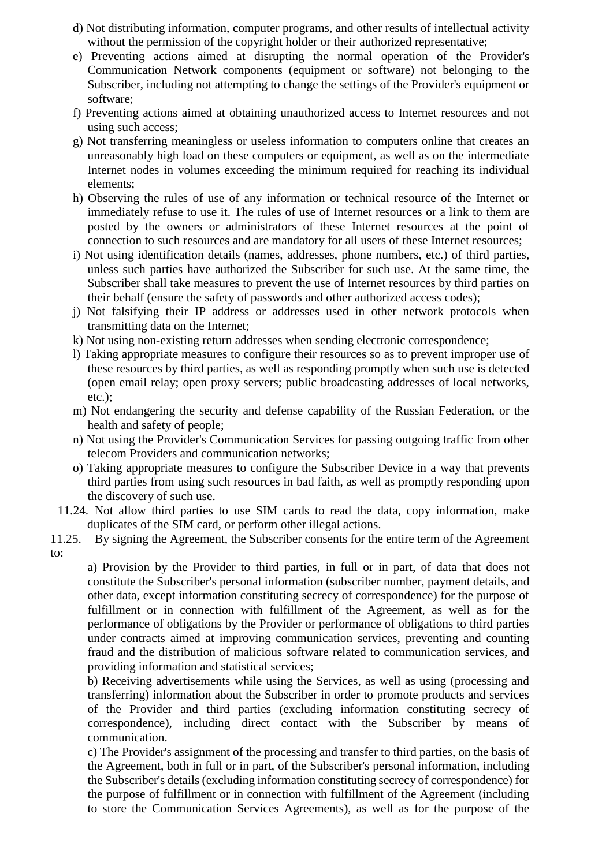- d) Not distributing information, computer programs, and other results of intellectual activity without the permission of the copyright holder or their authorized representative;
- e) Preventing actions aimed at disrupting the normal operation of the Provider's Communication Network components (equipment or software) not belonging to the Subscriber, including not attempting to change the settings of the Provider's equipment or software;
- f) Preventing actions aimed at obtaining unauthorized access to Internet resources and not using such access;
- g) Not transferring meaningless or useless information to computers online that creates an unreasonably high load on these computers or equipment, as well as on the intermediate Internet nodes in volumes exceeding the minimum required for reaching its individual elements;
- h) Observing the rules of use of any information or technical resource of the Internet or immediately refuse to use it. The rules of use of Internet resources or a link to them are posted by the owners or administrators of these Internet resources at the point of connection to such resources and are mandatory for all users of these Internet resources;
- i) Not using identification details (names, addresses, phone numbers, etc.) of third parties, unless such parties have authorized the Subscriber for such use. At the same time, the Subscriber shall take measures to prevent the use of Internet resources by third parties on their behalf (ensure the safety of passwords and other authorized access codes);
- j) Not falsifying their IP address or addresses used in other network protocols when transmitting data on the Internet;
- k) Not using non-existing return addresses when sending electronic correspondence;
- l) Taking appropriate measures to configure their resources so as to prevent improper use of these resources by third parties, as well as responding promptly when such use is detected (open email relay; open proxy servers; public broadcasting addresses of local networks, etc.);
- m) Not endangering the security and defense capability of the Russian Federation, or the health and safety of people;
- n) Not using the Provider's Communication Services for passing outgoing traffic from other telecom Providers and communication networks;
- o) Taking appropriate measures to configure the Subscriber Device in a way that prevents third parties from using such resources in bad faith, as well as promptly responding upon the discovery of such use.
- 11.24. Not allow third parties to use SIM cards to read the data, copy information, make duplicates of the SIM card, or perform other illegal actions.
- 11.25. By signing the Agreement, the Subscriber consents for the entire term of the Agreement to:

a) Provision by the Provider to third parties, in full or in part, of data that does not constitute the Subscriber's personal information (subscriber number, payment details, and other data, except information constituting secrecy of correspondence) for the purpose of fulfillment or in connection with fulfillment of the Agreement, as well as for the performance of obligations by the Provider or performance of obligations to third parties under contracts aimed at improving communication services, preventing and counting fraud and the distribution of malicious software related to communication services, and providing information and statistical services;

b) Receiving advertisements while using the Services, as well as using (processing and transferring) information about the Subscriber in order to promote products and services of the Provider and third parties (excluding information constituting secrecy of correspondence), including direct contact with the Subscriber by means of communication.

c) The Provider's assignment of the processing and transfer to third parties, on the basis of the Agreement, both in full or in part, of the Subscriber's personal information, including the Subscriber's details (excluding information constituting secrecy of correspondence) for the purpose of fulfillment or in connection with fulfillment of the Agreement (including to store the Communication Services Agreements), as well as for the purpose of the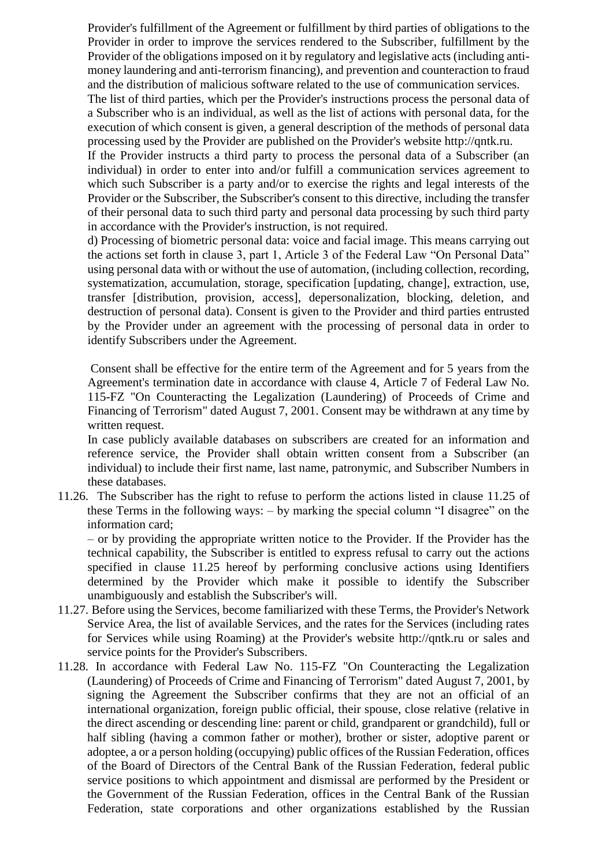Provider's fulfillment of the Agreement or fulfillment by third parties of obligations to the Provider in order to improve the services rendered to the Subscriber, fulfillment by the Provider of the obligations imposed on it by regulatory and legislative acts (including antimoney laundering and anti-terrorism financing), and prevention and counteraction to fraud and the distribution of malicious software related to the use of communication services.

The list of third parties, which per the Provider's instructions process the personal data of a Subscriber who is an individual, as well as the list of actions with personal data, for the execution of which consent is given, a general description of the methods of personal data processing used by the Provider are published on the Provider's website [http://qntk.ru.](http://www.megafon.ru/)

If the Provider instructs a third party to process the personal data of a Subscriber (an individual) in order to enter into and/or fulfill a communication services agreement to which such Subscriber is a party and/or to exercise the rights and legal interests of the Provider or the Subscriber, the Subscriber's consent to this directive, including the transfer of their personal data to such third party and personal data processing by such third party in accordance with the Provider's instruction, is not required.

d) Processing of biometric personal data: voice and facial image. This means carrying out the actions set forth in clause 3, part 1, Article 3 of the Federal Law "On Personal Data" using personal data with or without the use of automation, (including collection, recording, systematization, accumulation, storage, specification [updating, change], extraction, use, transfer [distribution, provision, access], depersonalization, blocking, deletion, and destruction of personal data). Consent is given to the Provider and third parties entrusted by the Provider under an agreement with the processing of personal data in order to identify Subscribers under the Agreement.

Consent shall be effective for the entire term of the Agreement and for 5 years from the Agreement's termination date in accordance with clause 4, Article 7 of Federal Law No. 115-FZ "On Counteracting the Legalization (Laundering) of Proceeds of Crime and Financing of Terrorism" dated August 7, 2001. Consent may be withdrawn at any time by written request.

In case publicly available databases on subscribers are created for an information and reference service, the Provider shall obtain written consent from a Subscriber (an individual) to include their first name, last name, patronymic, and Subscriber Numbers in these databases.

11.26. The Subscriber has the right to refuse to perform the actions listed in clause 11.25 of these Terms in the following ways: – by marking the special column "I disagree" on the information card;

– or by providing the appropriate written notice to the Provider. If the Provider has the technical capability, the Subscriber is entitled to express refusal to carry out the actions specified in clause 11.25 hereof by performing conclusive actions using Identifiers determined by the Provider which make it possible to identify the Subscriber unambiguously and establish the Subscriber's will.

- 11.27. Before using the Services, become familiarized with these Terms, the Provider's Network Service Area, the list of available Services, and the rates for the Services (including rates for Services while using Roaming) at the Provider's website [http://qntk.ru o](http://www.megafon.ru/)r sales and service points for the Provider's Subscribers.
- 11.28. In accordance with Federal Law No. 115-FZ "On Counteracting the Legalization (Laundering) of Proceeds of Crime and Financing of Terrorism" dated August 7, 2001, by signing the Agreement the Subscriber confirms that they are not an official of an international organization, foreign public official, their spouse, close relative (relative in the direct ascending or descending line: parent or child, grandparent or grandchild), full or half sibling (having a common father or mother), brother or sister, adoptive parent or adoptee, a or a person holding (occupying) public offices of the Russian Federation, offices of the Board of Directors of the Central Bank of the Russian Federation, federal public service positions to which appointment and dismissal are performed by the President or the Government of the Russian Federation, offices in the Central Bank of the Russian Federation, state corporations and other organizations established by the Russian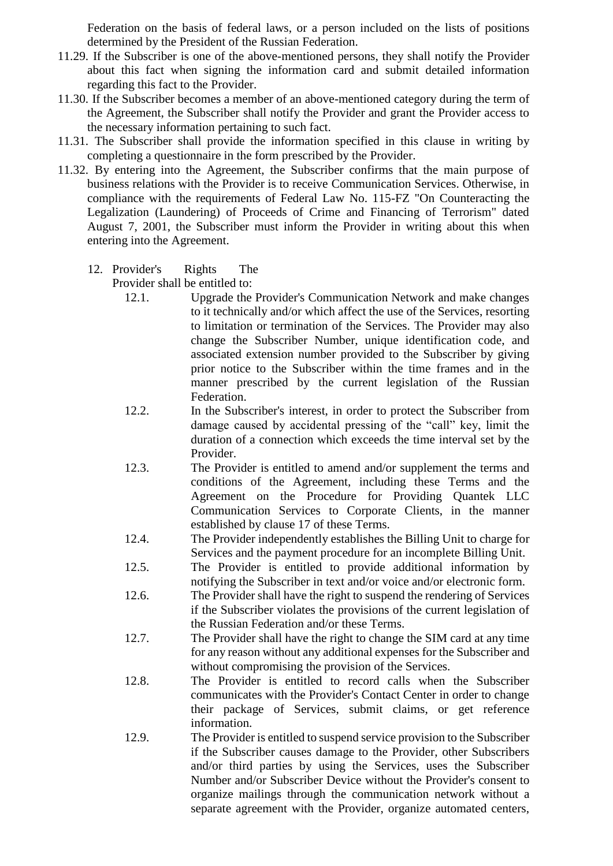Federation on the basis of federal laws, or a person included on the lists of positions determined by the President of the Russian Federation.

- 11.29. If the Subscriber is one of the above-mentioned persons, they shall notify the Provider about this fact when signing the information card and submit detailed information regarding this fact to the Provider.
- 11.30. If the Subscriber becomes a member of an above-mentioned category during the term of the Agreement, the Subscriber shall notify the Provider and grant the Provider access to the necessary information pertaining to such fact.
- 11.31. The Subscriber shall provide the information specified in this clause in writing by completing a questionnaire in the form prescribed by the Provider.
- 11.32. By entering into the Agreement, the Subscriber confirms that the main purpose of business relations with the Provider is to receive Communication Services. Otherwise, in compliance with the requirements of Federal Law No. 115-FZ "On Counteracting the Legalization (Laundering) of Proceeds of Crime and Financing of Terrorism" dated August 7, 2001, the Subscriber must inform the Provider in writing about this when entering into the Agreement.
	- 12. Provider's Rights The

Provider shall be entitled to:

- 12.1. Upgrade the Provider's Communication Network and make changes to it technically and/or which affect the use of the Services, resorting to limitation or termination of the Services. The Provider may also change the Subscriber Number, unique identification code, and associated extension number provided to the Subscriber by giving prior notice to the Subscriber within the time frames and in the manner prescribed by the current legislation of the Russian Federation.
- 12.2. In the Subscriber's interest, in order to protect the Subscriber from damage caused by accidental pressing of the "call" key, limit the duration of a connection which exceeds the time interval set by the Provider.
- 12.3. The Provider is entitled to amend and/or supplement the terms and conditions of the Agreement, including these Terms and the Agreement on the Procedure for Providing Quantek LLC Communication Services to Corporate Clients, in the manner established by clause 17 of these Terms.
- 12.4. The Provider independently establishes the Billing Unit to charge for Services and the payment procedure for an incomplete Billing Unit.
- 12.5. The Provider is entitled to provide additional information by notifying the Subscriber in text and/or voice and/or electronic form.
- 12.6. The Provider shall have the right to suspend the rendering of Services if the Subscriber violates the provisions of the current legislation of the Russian Federation and/or these Terms.
- 12.7. The Provider shall have the right to change the SIM card at any time for any reason without any additional expenses for the Subscriber and without compromising the provision of the Services.
- 12.8. The Provider is entitled to record calls when the Subscriber communicates with the Provider's Contact Center in order to change their package of Services, submit claims, or get reference information.
- 12.9. The Provider is entitled to suspend service provision to the Subscriber if the Subscriber causes damage to the Provider, other Subscribers and/or third parties by using the Services, uses the Subscriber Number and/or Subscriber Device without the Provider's consent to organize mailings through the communication network without a separate agreement with the Provider, organize automated centers,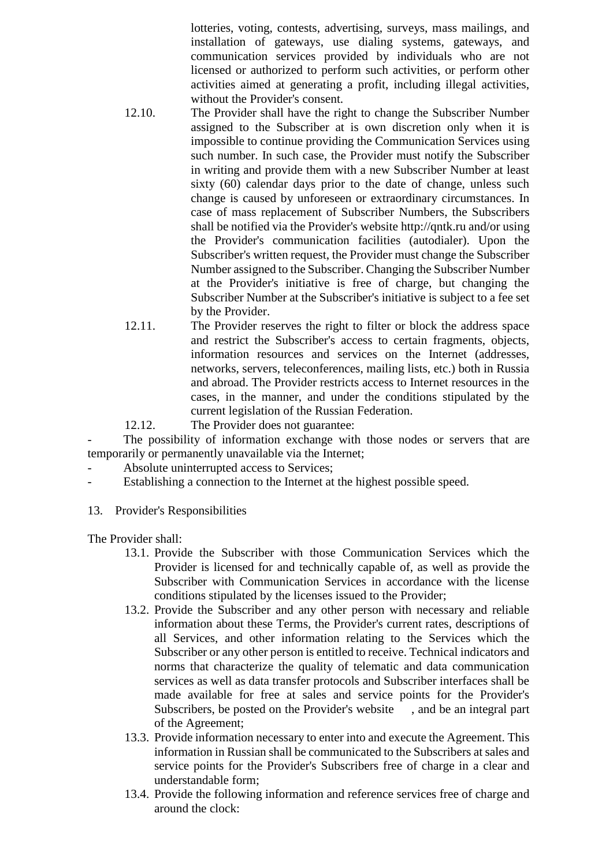lotteries, voting, contests, advertising, surveys, mass mailings, and installation of gateways, use dialing systems, gateways, and communication services provided by individuals who are not licensed or authorized to perform such activities, or perform other activities aimed at generating a profit, including illegal activities, without the Provider's consent.

- 12.10. The Provider shall have the right to change the Subscriber Number assigned to the Subscriber at is own discretion only when it is impossible to continue providing the Communication Services using such number. In such case, the Provider must notify the Subscriber in writing and provide them with a new Subscriber Number at least sixty (60) calendar days prior to the date of change, unless such change is caused by unforeseen or extraordinary circumstances. In case of mass replacement of Subscriber Numbers, the Subscribers shall be notified via the Provider's website [http://qntk.ru a](http://www.megafon.ru/)nd/or using the Provider's communication facilities (autodialer). Upon the Subscriber's written request, the Provider must change the Subscriber Number assigned to the Subscriber. Changing the Subscriber Number at the Provider's initiative is free of charge, but changing the Subscriber Number at the Subscriber's initiative is subject to a fee set by the Provider.
- 12.11. The Provider reserves the right to filter or block the address space and restrict the Subscriber's access to certain fragments, objects, information resources and services on the Internet (addresses, networks, servers, teleconferences, mailing lists, etc.) both in Russia and abroad. The Provider restricts access to Internet resources in the cases, in the manner, and under the conditions stipulated by the current legislation of the Russian Federation.
- 12.12. The Provider does not guarantee:

The possibility of information exchange with those nodes or servers that are temporarily or permanently unavailable via the Internet;

- Absolute uninterrupted access to Services:
- Establishing a connection to the Internet at the highest possible speed.
- 13. Provider's Responsibilities

The Provider shall:

- 13.1. Provide the Subscriber with those Communication Services which the Provider is licensed for and technically capable of, as well as provide the Subscriber with Communication Services in accordance with the license conditions stipulated by the licenses issued to the Provider;
- 13.2. Provide the Subscriber and any other person with necessary and reliable information about these Terms, the Provider's current rates, descriptions of all Services, and other information relating to the Services which the Subscriber or any other person is entitled to receive. Technical indicators and norms that characterize the quality of telematic and data communication services as well as data transfer protocols and Subscriber interfaces shall be made available for free at sales and service points for the Provider's Subscribers, be posted on the Provider's website [,](http://www.megafon.ru/) and be an integral part of the Agreement;
- 13.3. Provide information necessary to enter into and execute the Agreement. This information in Russian shall be communicated to the Subscribers at sales and service points for the Provider's Subscribers free of charge in a clear and understandable form;
- 13.4. Provide the following information and reference services free of charge and around the clock: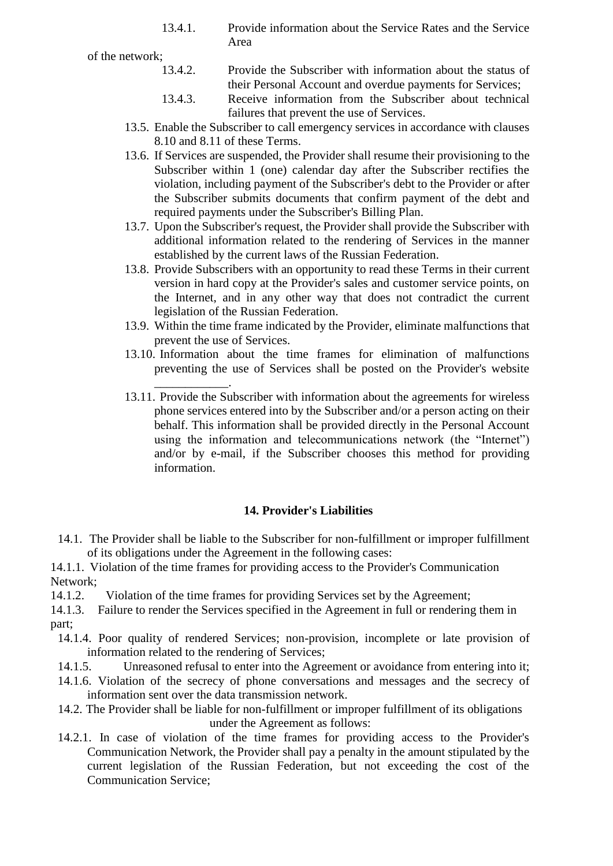13.4.1. Provide information about the Service Rates and the Service Area

of the network;

- 13.4.2. Provide the Subscriber with information about the status of their Personal Account and overdue payments for Services;
- 13.4.3. Receive information from the Subscriber about technical failures that prevent the use of Services.
- 13.5. Enable the Subscriber to call emergency services in accordance with clauses 8.10 and 8.11 of these Terms.
- 13.6. If Services are suspended, the Provider shall resume their provisioning to the Subscriber within 1 (one) calendar day after the Subscriber rectifies the violation, including payment of the Subscriber's debt to the Provider or after the Subscriber submits documents that confirm payment of the debt and required payments under the Subscriber's Billing Plan.
- 13.7. Upon the Subscriber's request, the Provider shall provide the Subscriber with additional information related to the rendering of Services in the manner established by the current laws of the Russian Federation.
- 13.8. Provide Subscribers with an opportunity to read these Terms in their current version in hard copy at the Provider's sales and customer service points, on the Internet, and in any other way that does not contradict the current legislation of the Russian Federation.
- 13.9. Within the time frame indicated by the Provider, eliminate malfunctions that prevent the use of Services.
- 13.10. Information about the time frames for elimination of malfunctions preventing the use of Services shall be posted on the Provider's website
- [\\_\\_\\_\\_\\_\\_\\_\\_\\_\\_\\_\\_.](http://www.megafon.ru/)  13.11. Provide the Subscriber with information about the agreements for wireless phone services entered into by the Subscriber and/or a person acting on their behalf. This information shall be provided directly in the Personal Account using the information and telecommunications network (the "Internet") and/or by e-mail, if the Subscriber chooses this method for providing information.

# **14. Provider's Liabilities**

14.1. The Provider shall be liable to the Subscriber for non-fulfillment or improper fulfillment of its obligations under the Agreement in the following cases:

14.1.1. Violation of the time frames for providing access to the Provider's Communication Network;

14.1.2. Violation of the time frames for providing Services set by the Agreement;

14.1.3. Failure to render the Services specified in the Agreement in full or rendering them in part;

- 14.1.4. Poor quality of rendered Services; non-provision, incomplete or late provision of information related to the rendering of Services;
- 14.1.5. Unreasoned refusal to enter into the Agreement or avoidance from entering into it;
- 14.1.6. Violation of the secrecy of phone conversations and messages and the secrecy of information sent over the data transmission network.
- 14.2. The Provider shall be liable for non-fulfillment or improper fulfillment of its obligations under the Agreement as follows:
- 14.2.1. In case of violation of the time frames for providing access to the Provider's Communication Network, the Provider shall pay a penalty in the amount stipulated by the current legislation of the Russian Federation, but not exceeding the cost of the Communication Service;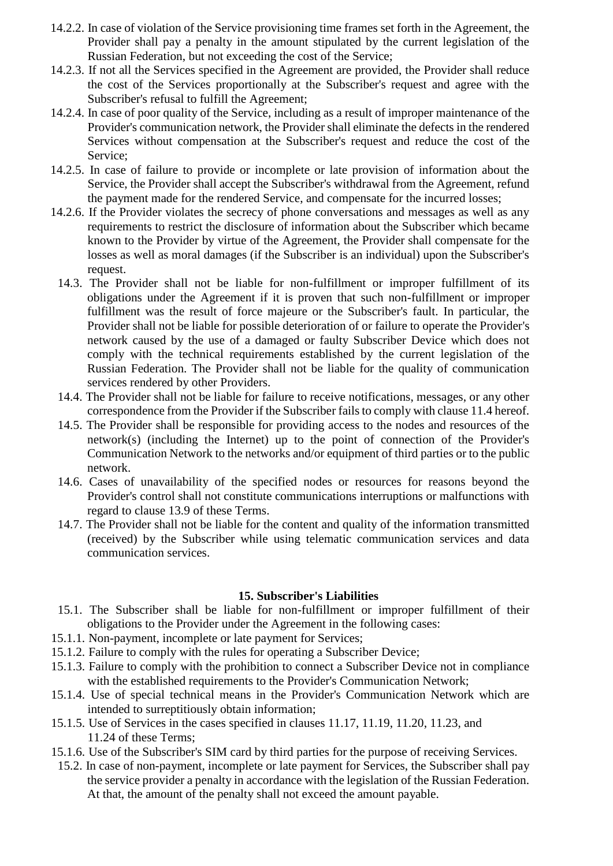- 14.2.2. In case of violation of the Service provisioning time frames set forth in the Agreement, the Provider shall pay a penalty in the amount stipulated by the current legislation of the Russian Federation, but not exceeding the cost of the Service;
- 14.2.3. If not all the Services specified in the Agreement are provided, the Provider shall reduce the cost of the Services proportionally at the Subscriber's request and agree with the Subscriber's refusal to fulfill the Agreement;
- 14.2.4. In case of poor quality of the Service, including as a result of improper maintenance of the Provider's communication network, the Provider shall eliminate the defects in the rendered Services without compensation at the Subscriber's request and reduce the cost of the Service;
- 14.2.5. In case of failure to provide or incomplete or late provision of information about the Service, the Provider shall accept the Subscriber's withdrawal from the Agreement, refund the payment made for the rendered Service, and compensate for the incurred losses;
- 14.2.6. If the Provider violates the secrecy of phone conversations and messages as well as any requirements to restrict the disclosure of information about the Subscriber which became known to the Provider by virtue of the Agreement, the Provider shall compensate for the losses as well as moral damages (if the Subscriber is an individual) upon the Subscriber's request.
	- 14.3. The Provider shall not be liable for non-fulfillment or improper fulfillment of its obligations under the Agreement if it is proven that such non-fulfillment or improper fulfillment was the result of force majeure or the Subscriber's fault. In particular, the Provider shall not be liable for possible deterioration of or failure to operate the Provider's network caused by the use of a damaged or faulty Subscriber Device which does not comply with the technical requirements established by the current legislation of the Russian Federation. The Provider shall not be liable for the quality of communication services rendered by other Providers.
	- 14.4. The Provider shall not be liable for failure to receive notifications, messages, or any other correspondence from the Provider if the Subscriber fails to comply with clause 11.4 hereof.
	- 14.5. The Provider shall be responsible for providing access to the nodes and resources of the network(s) (including the Internet) up to the point of connection of the Provider's Communication Network to the networks and/or equipment of third parties or to the public network.
	- 14.6. Cases of unavailability of the specified nodes or resources for reasons beyond the Provider's control shall not constitute communications interruptions or malfunctions with regard to clause 13.9 of these Terms.
	- 14.7. The Provider shall not be liable for the content and quality of the information transmitted (received) by the Subscriber while using telematic communication services and data communication services.

#### **15. Subscriber's Liabilities**

- 15.1. The Subscriber shall be liable for non-fulfillment or improper fulfillment of their obligations to the Provider under the Agreement in the following cases:
- 15.1.1. Non-payment, incomplete or late payment for Services;
- 15.1.2. Failure to comply with the rules for operating a Subscriber Device;
- 15.1.3. Failure to comply with the prohibition to connect a Subscriber Device not in compliance with the established requirements to the Provider's Communication Network;
- 15.1.4. Use of special technical means in the Provider's Communication Network which are intended to surreptitiously obtain information;
- 15.1.5. Use of Services in the cases specified in clauses 11.17, 11.19, 11.20, 11.23, and 11.24 of these Terms;
- 15.1.6. Use of the Subscriber's SIM card by third parties for the purpose of receiving Services.
- 15.2. In case of non-payment, incomplete or late payment for Services, the Subscriber shall pay the service provider a penalty in accordance with the legislation of the Russian Federation. At that, the amount of the penalty shall not exceed the amount payable.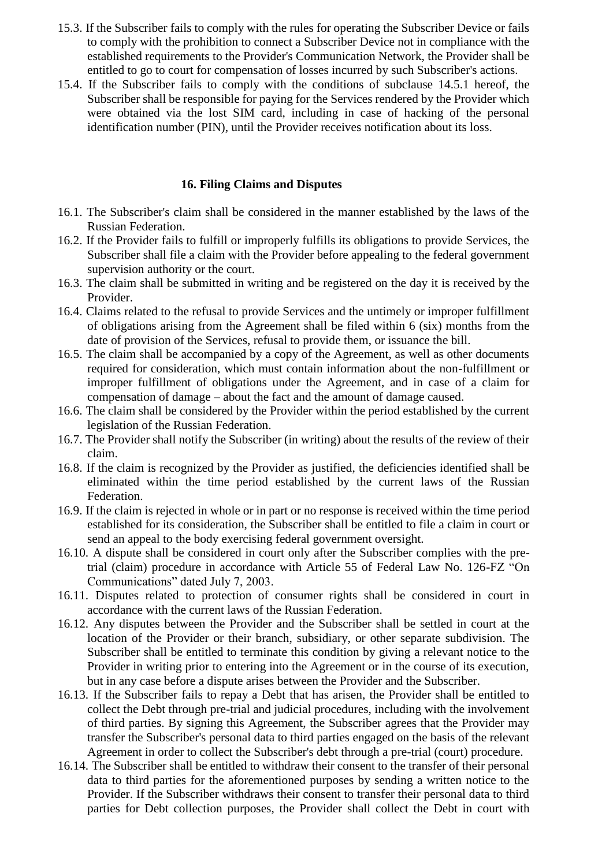- 15.3. If the Subscriber fails to comply with the rules for operating the Subscriber Device or fails to comply with the prohibition to connect a Subscriber Device not in compliance with the established requirements to the Provider's Communication Network, the Provider shall be entitled to go to court for compensation of losses incurred by such Subscriber's actions.
- 15.4. If the Subscriber fails to comply with the conditions of subclause 14.5.1 hereof, the Subscriber shall be responsible for paying for the Services rendered by the Provider which were obtained via the lost SIM card, including in case of hacking of the personal identification number (PIN), until the Provider receives notification about its loss.

## **16. Filing Claims and Disputes**

- 16.1. The Subscriber's claim shall be considered in the manner established by the laws of the Russian Federation.
- 16.2. If the Provider fails to fulfill or improperly fulfills its obligations to provide Services, the Subscriber shall file a claim with the Provider before appealing to the federal government supervision authority or the court.
- 16.3. The claim shall be submitted in writing and be registered on the day it is received by the Provider.
- 16.4. Claims related to the refusal to provide Services and the untimely or improper fulfillment of obligations arising from the Agreement shall be filed within 6 (six) months from the date of provision of the Services, refusal to provide them, or issuance the bill.
- 16.5. The claim shall be accompanied by a copy of the Agreement, as well as other documents required for consideration, which must contain information about the non-fulfillment or improper fulfillment of obligations under the Agreement, and in case of a claim for compensation of damage – about the fact and the amount of damage caused.
- 16.6. The claim shall be considered by the Provider within the period established by the current legislation of the Russian Federation.
- 16.7. The Provider shall notify the Subscriber (in writing) about the results of the review of their claim.
- 16.8. If the claim is recognized by the Provider as justified, the deficiencies identified shall be eliminated within the time period established by the current laws of the Russian Federation.
- 16.9. If the claim is rejected in whole or in part or no response is received within the time period established for its consideration, the Subscriber shall be entitled to file a claim in court or send an appeal to the body exercising federal government oversight.
- 16.10. A dispute shall be considered in court only after the Subscriber complies with the pretrial (claim) procedure in accordance with Article 55 of Federal Law No. 126-FZ "On Communications" dated July 7, 2003.
- 16.11. Disputes related to protection of consumer rights shall be considered in court in accordance with the current laws of the Russian Federation.
- 16.12. Any disputes between the Provider and the Subscriber shall be settled in court at the location of the Provider or their branch, subsidiary, or other separate subdivision. The Subscriber shall be entitled to terminate this condition by giving a relevant notice to the Provider in writing prior to entering into the Agreement or in the course of its execution, but in any case before a dispute arises between the Provider and the Subscriber.
- 16.13. If the Subscriber fails to repay a Debt that has arisen, the Provider shall be entitled to collect the Debt through pre-trial and judicial procedures, including with the involvement of third parties. By signing this Agreement, the Subscriber agrees that the Provider may transfer the Subscriber's personal data to third parties engaged on the basis of the relevant Agreement in order to collect the Subscriber's debt through a pre-trial (court) procedure.
- 16.14. The Subscriber shall be entitled to withdraw their consent to the transfer of their personal data to third parties for the aforementioned purposes by sending a written notice to the Provider. If the Subscriber withdraws their consent to transfer their personal data to third parties for Debt collection purposes, the Provider shall collect the Debt in court with